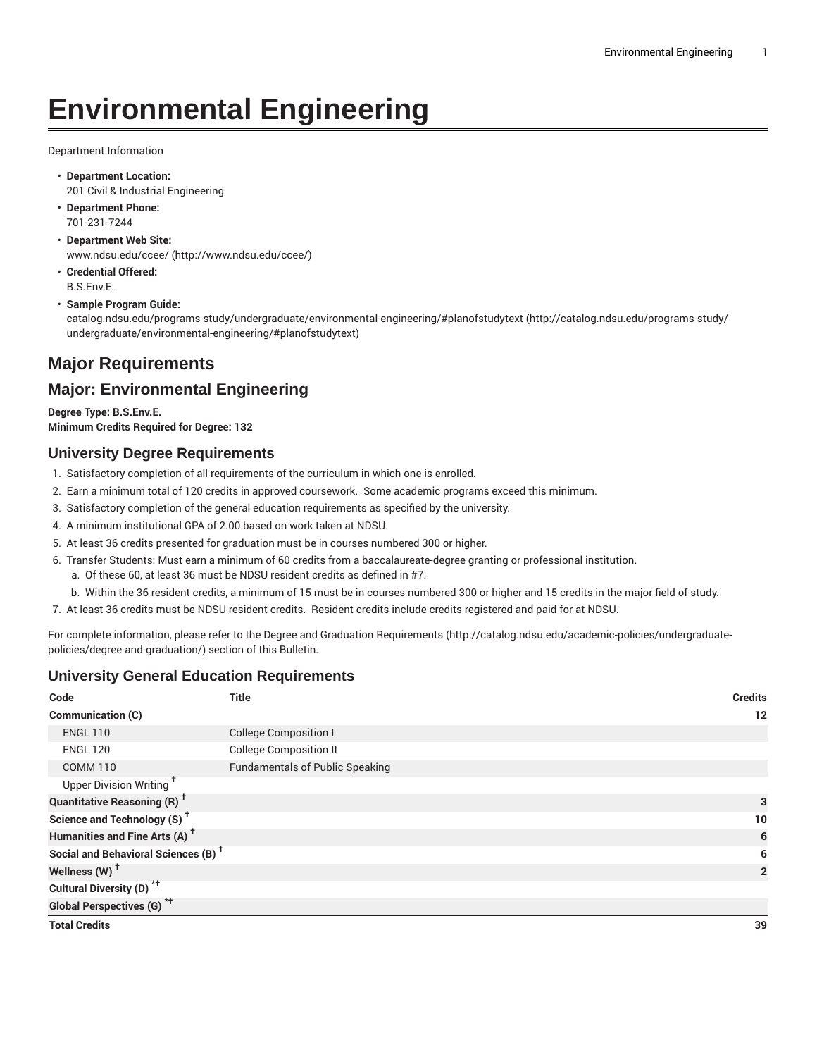# **Environmental Engineering**

Department Information

- **Department Location:** 201 Civil & Industrial Engineering
- **Department Phone:** 701-231-7244
- **Department Web Site:** [www.ndsu.edu/ccee/ \(http://www.ndsu.edu/ccee/](http://www.ndsu.edu/ccee/))
- **Credential Offered:** B.S.Env.E.

#### • **Sample Program Guide:**

[catalog.ndsu.edu/programs-study/undergraduate/environmental-engineering/#planofstudytext](http://catalog.ndsu.edu/programs-study/undergraduate/environmental-engineering/#planofstudytext) [\(http://catalog.ndsu.edu/programs-study/](http://catalog.ndsu.edu/programs-study/undergraduate/environmental-engineering/#planofstudytext) [undergraduate/environmental-engineering/#planofstudytext\)](http://catalog.ndsu.edu/programs-study/undergraduate/environmental-engineering/#planofstudytext)

# **Major Requirements**

## **Major: Environmental Engineering**

**Degree Type: B.S.Env.E. Minimum Credits Required for Degree: 132**

## **University Degree Requirements**

- 1. Satisfactory completion of all requirements of the curriculum in which one is enrolled.
- 2. Earn a minimum total of 120 credits in approved coursework. Some academic programs exceed this minimum.
- 3. Satisfactory completion of the general education requirements as specified by the university.
- 4. A minimum institutional GPA of 2.00 based on work taken at NDSU.
- 5. At least 36 credits presented for graduation must be in courses numbered 300 or higher.
- 6. Transfer Students: Must earn a minimum of 60 credits from a baccalaureate-degree granting or professional institution.
	- a. Of these 60, at least 36 must be NDSU resident credits as defined in #7.
	- b. Within the 36 resident credits, a minimum of 15 must be in courses numbered 300 or higher and 15 credits in the major field of study.
- 7. At least 36 credits must be NDSU resident credits. Resident credits include credits registered and paid for at NDSU.

For complete information, please refer to the Degree and Graduation [Requirements](http://catalog.ndsu.edu/academic-policies/undergraduate-policies/degree-and-graduation/) ([http://catalog.ndsu.edu/academic-policies/undergraduate](http://catalog.ndsu.edu/academic-policies/undergraduate-policies/degree-and-graduation/)[policies/degree-and-graduation/\)](http://catalog.ndsu.edu/academic-policies/undergraduate-policies/degree-and-graduation/) section of this Bulletin.

### **University General Education Requirements**

| Code                                            | <b>Title</b>                           | <b>Credits</b> |
|-------------------------------------------------|----------------------------------------|----------------|
| Communication (C)                               |                                        | 12             |
| <b>ENGL 110</b>                                 | <b>College Composition I</b>           |                |
| <b>ENGL 120</b>                                 | <b>College Composition II</b>          |                |
| <b>COMM 110</b>                                 | <b>Fundamentals of Public Speaking</b> |                |
| Upper Division Writing <sup>+</sup>             |                                        |                |
| <b>Quantitative Reasoning (R)<sup>†</sup></b>   |                                        | 3              |
| Science and Technology (S) <sup>†</sup>         |                                        | 10             |
| Humanities and Fine Arts (A) <sup>+</sup>       |                                        | 6              |
| Social and Behavioral Sciences (B) <sup>+</sup> |                                        | 6              |
| Wellness $(W)$ <sup>+</sup>                     |                                        | $\overline{2}$ |
| Cultural Diversity (D) <sup>*†</sup>            |                                        |                |
| <b>Global Perspectives (G)<sup>*†</sup></b>     |                                        |                |
| <b>Total Credits</b>                            |                                        | 39             |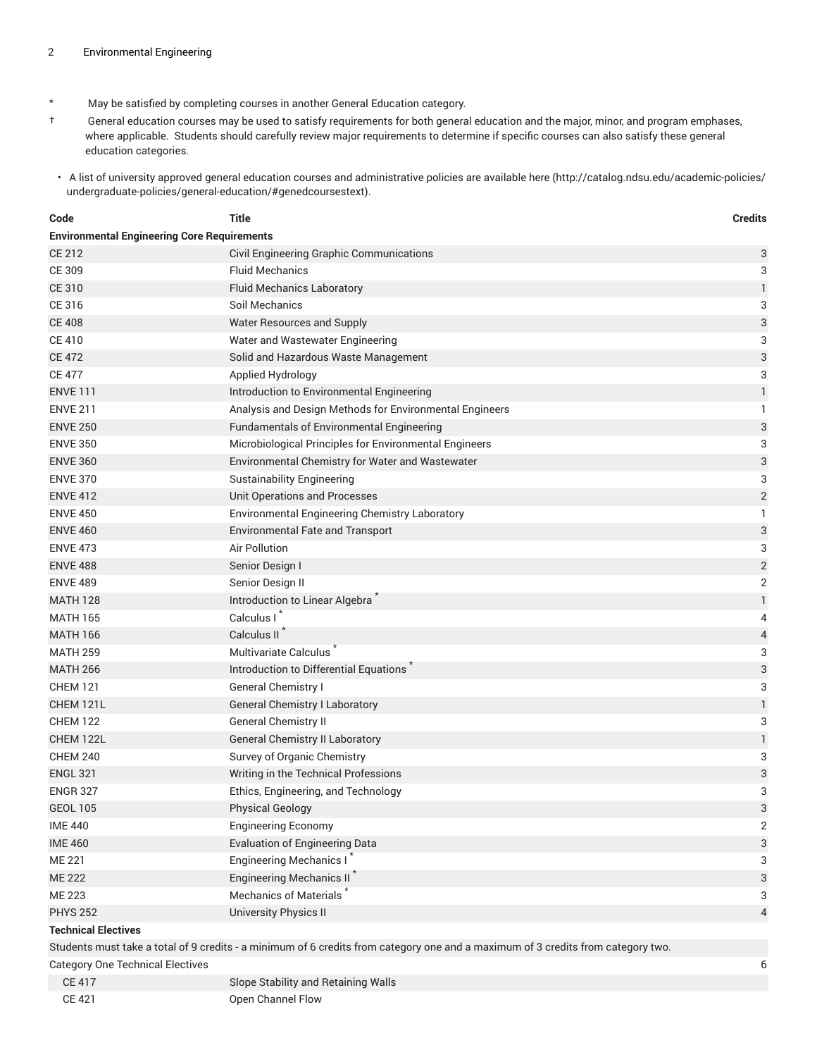- \* May be satisfied by completing courses in another General Education category.
- † General education courses may be used to satisfy requirements for both general education and the major, minor, and program emphases, where applicable. Students should carefully review major requirements to determine if specific courses can also satisfy these general education categories.
- A list of university approved general education courses and administrative policies are available [here](http://catalog.ndsu.edu/academic-policies/undergraduate-policies/general-education/#genedcoursestext) ([http://catalog.ndsu.edu/academic-policies/](http://catalog.ndsu.edu/academic-policies/undergraduate-policies/general-education/#genedcoursestext) [undergraduate-policies/general-education/#genedcoursestext](http://catalog.ndsu.edu/academic-policies/undergraduate-policies/general-education/#genedcoursestext)).

| Code                                    | <b>Title</b>                                                                                                                     | <b>Credits</b>            |  |  |  |
|-----------------------------------------|----------------------------------------------------------------------------------------------------------------------------------|---------------------------|--|--|--|
|                                         | <b>Environmental Engineering Core Requirements</b>                                                                               |                           |  |  |  |
| <b>CE 212</b>                           | Civil Engineering Graphic Communications                                                                                         | 3                         |  |  |  |
| CE 309                                  | <b>Fluid Mechanics</b>                                                                                                           | 3                         |  |  |  |
| <b>CE 310</b>                           | <b>Fluid Mechanics Laboratory</b>                                                                                                | $\mathbf{1}$              |  |  |  |
| CE 316                                  | Soil Mechanics                                                                                                                   | 3                         |  |  |  |
| <b>CE 408</b>                           | Water Resources and Supply                                                                                                       | 3                         |  |  |  |
| <b>CE 410</b>                           | Water and Wastewater Engineering                                                                                                 | 3                         |  |  |  |
| <b>CE 472</b>                           | Solid and Hazardous Waste Management                                                                                             | 3                         |  |  |  |
| <b>CE 477</b>                           | Applied Hydrology                                                                                                                | 3                         |  |  |  |
| <b>ENVE 111</b>                         | Introduction to Environmental Engineering                                                                                        | $\mathbf{1}$              |  |  |  |
| <b>ENVE 211</b>                         | Analysis and Design Methods for Environmental Engineers                                                                          | 1                         |  |  |  |
| <b>ENVE 250</b>                         | <b>Fundamentals of Environmental Engineering</b>                                                                                 | 3                         |  |  |  |
| <b>ENVE 350</b>                         | Microbiological Principles for Environmental Engineers                                                                           | 3                         |  |  |  |
| <b>ENVE 360</b>                         | Environmental Chemistry for Water and Wastewater                                                                                 | 3                         |  |  |  |
| <b>ENVE 370</b>                         | <b>Sustainability Engineering</b>                                                                                                | 3                         |  |  |  |
| <b>ENVE 412</b>                         | Unit Operations and Processes                                                                                                    | $\sqrt{2}$                |  |  |  |
| <b>ENVE 450</b>                         | Environmental Engineering Chemistry Laboratory                                                                                   | 1                         |  |  |  |
| <b>ENVE 460</b>                         | <b>Environmental Fate and Transport</b>                                                                                          | $\ensuremath{\mathsf{3}}$ |  |  |  |
| <b>ENVE 473</b>                         | Air Pollution                                                                                                                    | 3                         |  |  |  |
| <b>ENVE 488</b>                         | Senior Design I                                                                                                                  | $\overline{c}$            |  |  |  |
| <b>ENVE 489</b>                         | Senior Design II                                                                                                                 | $\sqrt{2}$                |  |  |  |
| <b>MATH 128</b>                         | Introduction to Linear Algebra                                                                                                   | $\mathbf{1}$              |  |  |  |
| <b>MATH 165</b>                         | Calculus I                                                                                                                       | 4                         |  |  |  |
| <b>MATH 166</b>                         | Calculus II <sup>7</sup>                                                                                                         | 4                         |  |  |  |
| <b>MATH 259</b>                         | Multivariate Calculus <sup>®</sup>                                                                                               | 3                         |  |  |  |
| <b>MATH 266</b>                         | Introduction to Differential Equations                                                                                           | 3                         |  |  |  |
| <b>CHEM 121</b>                         | <b>General Chemistry I</b>                                                                                                       | 3                         |  |  |  |
| CHEM 121L                               | <b>General Chemistry I Laboratory</b>                                                                                            | $\mathbf{1}$              |  |  |  |
| <b>CHEM 122</b>                         | General Chemistry II                                                                                                             | 3                         |  |  |  |
| CHEM 122L                               | General Chemistry II Laboratory                                                                                                  | 1                         |  |  |  |
| <b>CHEM 240</b>                         | Survey of Organic Chemistry                                                                                                      | 3                         |  |  |  |
| <b>ENGL 321</b>                         | Writing in the Technical Professions                                                                                             | 3                         |  |  |  |
| <b>ENGR 327</b>                         | Ethics, Engineering, and Technology                                                                                              | 3                         |  |  |  |
| <b>GEOL 105</b>                         | Physical Geology                                                                                                                 | 3                         |  |  |  |
| <b>IME 440</b>                          | <b>Engineering Economy</b>                                                                                                       | $\overline{2}$            |  |  |  |
| <b>IME 460</b>                          | <b>Evaluation of Engineering Data</b>                                                                                            | $\ensuremath{\mathsf{3}}$ |  |  |  |
| <b>ME 221</b>                           | Engineering Mechanics I*                                                                                                         | 3                         |  |  |  |
| <b>ME 222</b>                           | Engineering Mechanics II <sup>*</sup>                                                                                            | 3                         |  |  |  |
| <b>ME 223</b>                           | Mechanics of Materials                                                                                                           | 3                         |  |  |  |
| <b>PHYS 252</b>                         | University Physics II                                                                                                            | $\overline{4}$            |  |  |  |
| <b>Technical Electives</b>              |                                                                                                                                  |                           |  |  |  |
|                                         | Students must take a total of 9 credits - a minimum of 6 credits from category one and a maximum of 3 credits from category two. |                           |  |  |  |
| <b>Category One Technical Electives</b> |                                                                                                                                  | 6                         |  |  |  |

| CE 417 | Slope Stability and Retaining Walls |  |
|--------|-------------------------------------|--|
| CE 421 | Open Channel Flow                   |  |